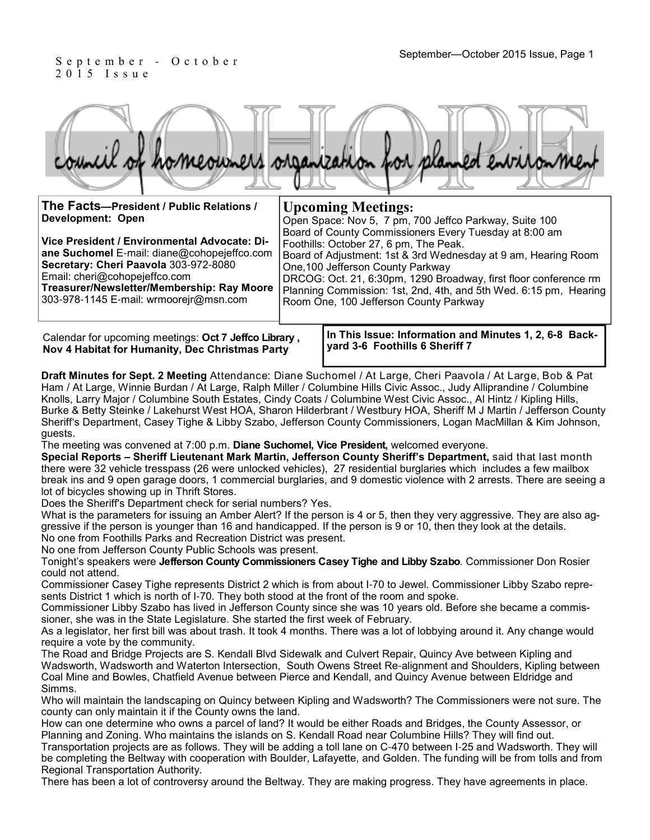### September—October 2015 Issue, Page 1<br>September—October 2015 Issue, Page 1 2 0 1 5 I s s u e

|                                          | homeowners organization for planned entronment         |
|------------------------------------------|--------------------------------------------------------|
| The Facts-President / Public Relations / | <b>Upcoming Meetings:</b>                              |
| Development: Open                        | Open Space: Nov 5. 7 pm. 700 Jeffco Parkway. Suite 100 |

| Development: Open                                                                                                                                                                                                                                             | Open Space: Nov 5, 7 pm, 700 Jeffco Parkway, Suite 100                                                                                                                                                                                                                                                                                                                                     |
|---------------------------------------------------------------------------------------------------------------------------------------------------------------------------------------------------------------------------------------------------------------|--------------------------------------------------------------------------------------------------------------------------------------------------------------------------------------------------------------------------------------------------------------------------------------------------------------------------------------------------------------------------------------------|
| Vice President / Environmental Advocate: Di-<br>ane Suchomel E-mail: diane@cohopejeffco.com<br>Secretary: Cheri Paavola 303-972-8080<br>Email: cheri@cohopejeffco.com<br>Treasurer/Newsletter/Membership: Ray Moore<br>303-978-1145 E-mail: wrmooreir@msn.com | Board of County Commissioners Every Tuesday at 8:00 am<br>Foothills: October 27, 6 pm, The Peak.<br>Board of Adjustment: 1st & 3rd Wednesday at 9 am, Hearing Room<br>One, 100 Jefferson County Parkway<br>DRCOG: Oct. 21, 6:30pm, 1290 Broadway, first floor conference rm<br>Planning Commission: 1st, 2nd, 4th, and 5th Wed. 6:15 pm, Hearing<br>Room One, 100 Jefferson County Parkway |

Calendar for upcoming meetings: **Oct 7 Jeffco Library , Nov 4 Habitat for Humanity, Dec Christmas Party**

**In This Issue: Information and Minutes 1, 2, 6-8 Backyard 3-6 Foothills 6 Sheriff 7** 

Hearing

**Draft Minutes for Sept. 2 Meeting** Attendance: Diane Suchomel / At Large, Cheri Paavola / At Large, Bob & Pat Ham / At Large, Winnie Burdan / At Large, Ralph Miller / Columbine Hills Civic Assoc., Judy Alliprandine / Columbine Knolls, Larry Major / Columbine South Estates, Cindy Coats / Columbine West Civic Assoc., Al Hintz / Kipling Hills, Burke & Betty Steinke / Lakehurst West HOA, Sharon Hilderbrant / Westbury HOA, Sheriff M J Martin / Jefferson County Sheriff's Department, Casey Tighe & Libby Szabo, Jefferson County Commissioners, Logan MacMillan & Kim Johnson, guests.

The meeting was convened at 7:00 p.m. **Diane Suchomel, Vice President,** welcomed everyone.

**Special Reports – Sheriff Lieutenant Mark Martin, Jefferson County Sheriff's Department,** said that last month there were 32 vehicle tresspass (26 were unlocked vehicles), 27 residential burglaries which includes a few mailbox break ins and 9 open garage doors, 1 commercial burglaries, and 9 domestic violence with 2 arrests. There are seeing a lot of bicycles showing up in Thrift Stores.

Does the Sheriff's Department check for serial numbers? Yes.

What is the parameters for issuing an Amber Alert? If the person is 4 or 5, then they very aggressive. They are also aggressive if the person is younger than 16 and handicapped. If the person is 9 or 10, then they look at the details. No one from Foothills Parks and Recreation District was present.

No one from Jefferson County Public Schools was present.

Tonight's speakers were **Jefferson County Commissioners Casey Tighe and Libby Szabo**. Commissioner Don Rosier could not attend.

Commissioner Casey Tighe represents District 2 which is from about I-70 to Jewel. Commissioner Libby Szabo represents District 1 which is north of I-70. They both stood at the front of the room and spoke.

Commissioner Libby Szabo has lived in Jefferson County since she was 10 years old. Before she became a commissioner, she was in the State Legislature. She started the first week of February.

As a legislator, her first bill was about trash. It took 4 months. There was a lot of lobbying around it. Any change would require a vote by the community.

The Road and Bridge Projects are S. Kendall Blvd Sidewalk and Culvert Repair, Quincy Ave between Kipling and Wadsworth, Wadsworth and Waterton Intersection, South Owens Street Re-alignment and Shoulders, Kipling between Coal Mine and Bowles, Chatfield Avenue between Pierce and Kendall, and Quincy Avenue between Eldridge and Simms.

Who will maintain the landscaping on Quincy between Kipling and Wadsworth? The Commissioners were not sure. The county can only maintain it if the County owns the land.

How can one determine who owns a parcel of land? It would be either Roads and Bridges, the County Assessor, or Planning and Zoning. Who maintains the islands on S. Kendall Road near Columbine Hills? They will find out.

Transportation projects are as follows. They will be adding a toll lane on C-470 between I-25 and Wadsworth. They will be completing the Beltway with cooperation with Boulder, Lafayette, and Golden. The funding will be from tolls and from Regional Transportation Authority.

There has been a lot of controversy around the Beltway. They are making progress. They have agreements in place.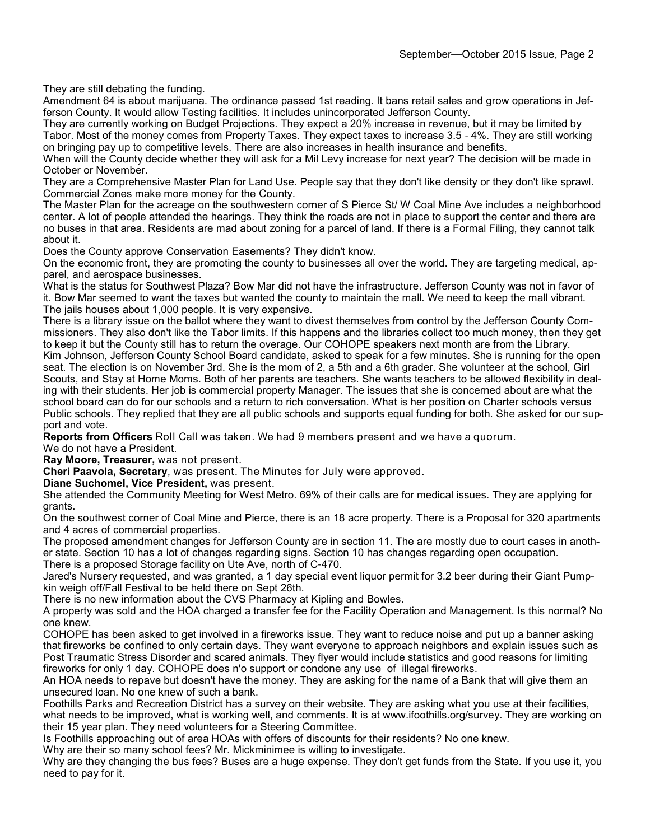They are still debating the funding.

Amendment 64 is about marijuana. The ordinance passed 1st reading. It bans retail sales and grow operations in Jefferson County. It would allow Testing facilities. It includes unincorporated Jefferson County.

They are currently working on Budget Projections. They expect a 20% increase in revenue, but it may be limited by Tabor. Most of the money comes from Property Taxes. They expect taxes to increase 3.5 - 4%. They are still working on bringing pay up to competitive levels. There are also increases in health insurance and benefits.

When will the County decide whether they will ask for a Mil Levy increase for next year? The decision will be made in October or November.

They are a Comprehensive Master Plan for Land Use. People say that they don't like density or they don't like sprawl. Commercial Zones make more money for the County.

The Master Plan for the acreage on the southwestern corner of S Pierce St/ W Coal Mine Ave includes a neighborhood center. A lot of people attended the hearings. They think the roads are not in place to support the center and there are no buses in that area. Residents are mad about zoning for a parcel of land. If there is a Formal Filing, they cannot talk about it.

Does the County approve Conservation Easements? They didn't know.

On the economic front, they are promoting the county to businesses all over the world. They are targeting medical, apparel, and aerospace businesses.

What is the status for Southwest Plaza? Bow Mar did not have the infrastructure. Jefferson County was not in favor of it. Bow Mar seemed to want the taxes but wanted the county to maintain the mall. We need to keep the mall vibrant. The jails houses about 1,000 people. It is very expensive.

There is a library issue on the ballot where they want to divest themselves from control by the Jefferson County Commissioners. They also don't like the Tabor limits. If this happens and the libraries collect too much money, then they get to keep it but the County still has to return the overage. Our COHOPE speakers next month are from the Library. Kim Johnson, Jefferson County School Board candidate, asked to speak for a few minutes. She is running for the open seat. The election is on November 3rd. She is the mom of 2, a 5th and a 6th grader. She volunteer at the school, Girl Scouts, and Stay at Home Moms. Both of her parents are teachers. She wants teachers to be allowed flexibility in dealing with their students. Her job is commercial property Manager. The issues that she is concerned about are what the school board can do for our schools and a return to rich conversation. What is her position on Charter schools versus Public schools. They replied that they are all public schools and supports equal funding for both. She asked for our support and vote.

**Reports from Officers** Roll Call was taken. We had 9 members present and we have a quorum.

We do not have a President.

**Ray Moore, Treasurer,** was not present.

**Cheri Paavola, Secretary**, was present. The Minutes for July were approved.

**Diane Suchomel, Vice President,** was present.

She attended the Community Meeting for West Metro. 69% of their calls are for medical issues. They are applying for grants.

On the southwest corner of Coal Mine and Pierce, there is an 18 acre property. There is a Proposal for 320 apartments and 4 acres of commercial properties.

The proposed amendment changes for Jefferson County are in section 11. The are mostly due to court cases in another state. Section 10 has a lot of changes regarding signs. Section 10 has changes regarding open occupation. There is a proposed Storage facility on Ute Ave, north of C-470.

Jared's Nursery requested, and was granted, a 1 day special event liquor permit for 3.2 beer during their Giant Pumpkin weigh off/Fall Festival to be held there on Sept 26th.

There is no new information about the CVS Pharmacy at Kipling and Bowles.

A property was sold and the HOA charged a transfer fee for the Facility Operation and Management. Is this normal? No one knew.

COHOPE has been asked to get involved in a fireworks issue. They want to reduce noise and put up a banner asking that fireworks be confined to only certain days. They want everyone to approach neighbors and explain issues such as Post Traumatic Stress Disorder and scared animals. They flyer would include statistics and good reasons for limiting fireworks for only 1 day. COHOPE does n'o support or condone any use of illegal fireworks.

An HOA needs to repave but doesn't have the money. They are asking for the name of a Bank that will give them an unsecured loan. No one knew of such a bank.

Foothills Parks and Recreation District has a survey on their website. They are asking what you use at their facilities, what needs to be improved, what is working well, and comments. It is at www.ifoothills.org/survey. They are working on their 15 year plan. They need volunteers for a Steering Committee.

Is Foothills approaching out of area HOAs with offers of discounts for their residents? No one knew.

Why are their so many school fees? Mr. Mickminimee is willing to investigate.

Why are they changing the bus fees? Buses are a huge expense. They don't get funds from the State. If you use it, you need to pay for it.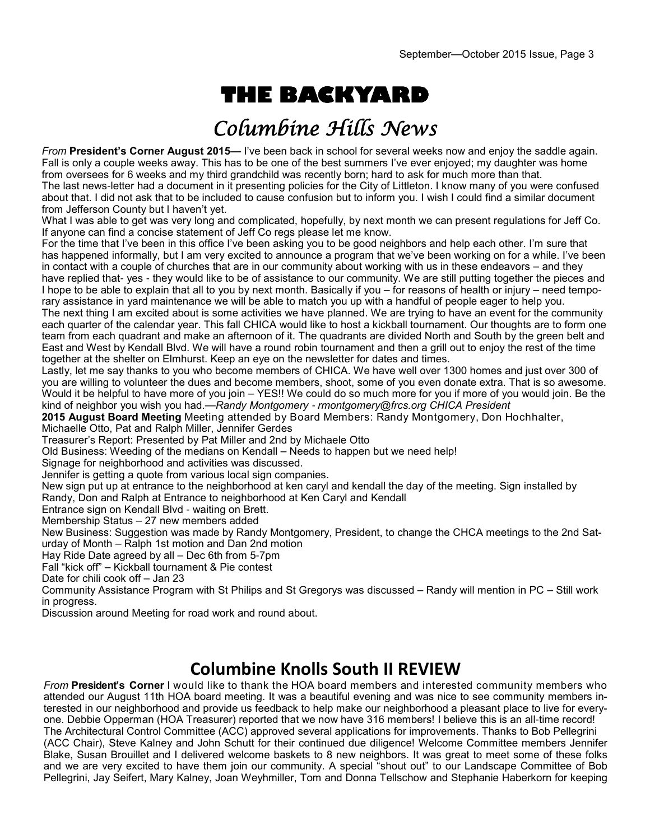# **THE BACKYARD**

## Columbine Hills News

*From* **President's Corner August 2015—** I've been back in school for several weeks now and enjoy the saddle again. Fall is only a couple weeks away. This has to be one of the best summers I've ever enjoyed; my daughter was home from oversees for 6 weeks and my third grandchild was recently born; hard to ask for much more than that. The last news-letter had a document in it presenting policies for the City of Littleton. I know many of you were confused about that. I did not ask that to be included to cause confusion but to inform you. I wish I could find a similar document from Jefferson County but I haven't yet.

What I was able to get was very long and complicated, hopefully, by next month we can present regulations for Jeff Co. If anyone can find a concise statement of Jeff Co regs please let me know.

For the time that I've been in this office I've been asking you to be good neighbors and help each other. I'm sure that has happened informally, but I am very excited to announce a program that we've been working on for a while. I've been in contact with a couple of churches that are in our community about working with us in these endeavors – and they have replied that- yes - they would like to be of assistance to our community. We are still putting together the pieces and I hope to be able to explain that all to you by next month. Basically if you – for reasons of health or injury – need temporary assistance in yard maintenance we will be able to match you up with a handful of people eager to help you.

The next thing I am excited about is some activities we have planned. We are trying to have an event for the community each quarter of the calendar year. This fall CHICA would like to host a kickball tournament. Our thoughts are to form one team from each quadrant and make an afternoon of it. The quadrants are divided North and South by the green belt and East and West by Kendall Blvd. We will have a round robin tournament and then a grill out to enjoy the rest of the time together at the shelter on Elmhurst. Keep an eye on the newsletter for dates and times.

Lastly, let me say thanks to you who become members of CHICA. We have well over 1300 homes and just over 300 of you are willing to volunteer the dues and become members, shoot, some of you even donate extra. That is so awesome. Would it be helpful to have more of you join – YES!! We could do so much more for you if more of you would join. Be the kind of neighbor you wish you had.—*Randy Montgomery* - *rmontgomery@frcs.org CHICA President*

**2015 August Board Meeting** Meeting attended by Board Members: Randy Montgomery, Don Hochhalter,

Michaelle Otto, Pat and Ralph Miller, Jennifer Gerdes

Treasurer's Report: Presented by Pat Miller and 2nd by Michaele Otto

Old Business: Weeding of the medians on Kendall – Needs to happen but we need help!

Signage for neighborhood and activities was discussed.

Jennifer is getting a quote from various local sign companies.

New sign put up at entrance to the neighborhood at ken caryl and kendall the day of the meeting. Sign installed by

Randy, Don and Ralph at Entrance to neighborhood at Ken Caryl and Kendall

Entrance sign on Kendall Blvd - waiting on Brett.

Membership Status – 27 new members added

New Business: Suggestion was made by Randy Montgomery, President, to change the CHCA meetings to the 2nd Saturday of Month – Ralph 1st motion and Dan 2nd motion

Hay Ride Date agreed by all – Dec 6th from 5-7pm

Fall "kick off" – Kickball tournament & Pie contest

Date for chili cook off – Jan 23

Community Assistance Program with St Philips and St Gregorys was discussed – Randy will mention in PC – Still work in progress.

Discussion around Meeting for road work and round about.

## **Columbine Knolls South II REVIEW**

*From* **President's Corner** I would like to thank the HOA board members and interested community members who attended our August 11th HOA board meeting. It was a beautiful evening and was nice to see community members interested in our neighborhood and provide us feedback to help make our neighborhood a pleasant place to live for everyone. Debbie Opperman (HOA Treasurer) reported that we now have 316 members! I believe this is an all-time record! The Architectural Control Committee (ACC) approved several applications for improvements. Thanks to Bob Pellegrini (ACC Chair), Steve Kalney and John Schutt for their continued due diligence! Welcome Committee members Jennifer Blake, Susan Brouillet and I delivered welcome baskets to 8 new neighbors. It was great to meet some of these folks and we are very excited to have them join our community. A special "shout out" to our Landscape Committee of Bob Pellegrini, Jay Seifert, Mary Kalney, Joan Weyhmiller, Tom and Donna Tellschow and Stephanie Haberkorn for keeping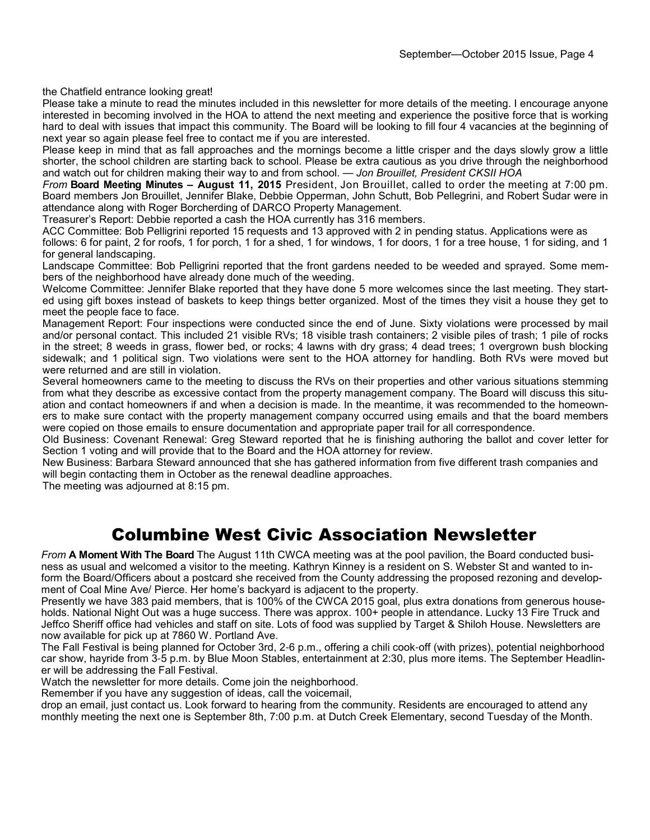the Chatfield entrance looking great!

Please take a minute to read the minutes included in this newsletter for more details of the meeting. I encourage anyone interested in becoming involved in the HOA to attend the next meeting and experience the positive force that is working hard to deal with issues that impact this community. The Board will be looking to fill four 4 vacancies at the beginning of next year so again please feel free to contact me if you are interested.

Please keep in mind that as fall approaches and the mornings become a little crisper and the days slowly grow a little shorter, the school children are starting back to school. Please be extra cautious as you drive through the neighborhood and watch out for children making their way to and from school. — *Jon Brouillet, President CKSII HOA*

*From* **Board Meeting Minutes – August 11, 2015** President, Jon Brouillet, called to order the meeting at 7:00 pm. Board members Jon Brouillet, Jennifer Blake, Debbie Opperman, John Schutt, Bob Pellegrini, and Robert Sudar were in attendance along with Roger Borcherding of DARCO Property Management.

Treasurer's Report: Debbie reported a cash the HOA currently has 316 members.

ACC Committee: Bob Pelligrini reported 15 requests and 13 approved with 2 in pending status. Applications were as follows: 6 for paint, 2 for roofs, 1 for porch, 1 for a shed, 1 for windows, 1 for doors, 1 for a tree house, 1 for siding, and 1 for general landscaping.

Landscape Committee: Bob Pelligrini reported that the front gardens needed to be weeded and sprayed. Some members of the neighborhood have already done much of the weeding.

Welcome Committee: Jennifer Blake reported that they have done 5 more welcomes since the last meeting. They started using gift boxes instead of baskets to keep things better organized. Most of the times they visit a house they get to meet the people face to face.

Management Report: Four inspections were conducted since the end of June. Sixty violations were processed by mail and/or personal contact. This included 21 visible RVs; 18 visible trash containers; 2 visible piles of trash; 1 pile of rocks in the street; 8 weeds in grass, flower bed, or rocks; 4 lawns with dry grass; 4 dead trees; 1 overgrown bush blocking sidewalk; and 1 political sign. Two violations were sent to the HOA attorney for handling. Both RVs were moved but were returned and are still in violation.

Several homeowners came to the meeting to discuss the RVs on their properties and other various situations stemming from what they describe as excessive contact from the property management company. The Board will discuss this situation and contact homeowners if and when a decision is made. In the meantime, it was recommended to the homeowners to make sure contact with the property management company occurred using emails and that the board members were copied on those emails to ensure documentation and appropriate paper trail for all correspondence.

Old Business: Covenant Renewal: Greg Steward reported that he is finishing authoring the ballot and cover letter for Section 1 voting and will provide that to the Board and the HOA attorney for review.

New Business: Barbara Steward announced that she has gathered information from five different trash companies and will begin contacting them in October as the renewal deadline approaches.

The meeting was adjourned at 8:15 pm.

## Columbine West Civic Association Newsletter

*From* **A Moment With The Board** The August 11th CWCA meeting was at the pool pavilion, the Board conducted business as usual and welcomed a visitor to the meeting. Kathryn Kinney is a resident on S. Webster St and wanted to inform the Board/Officers about a postcard she received from the County addressing the proposed rezoning and development of Coal Mine Ave/ Pierce. Her home's backyard is adjacent to the property.

Presently we have 383 paid members, that is 100% of the CWCA 2015 goal, plus extra donations from generous households. National Night Out was a huge success. There was approx. 100+ people in attendance. Lucky 13 Fire Truck and Jeffco Sheriff office had vehicles and staff on site. Lots of food was supplied by Target & Shiloh House. Newsletters are now available for pick up at 7860 W. Portland Ave.

The Fall Festival is being planned for October 3rd, 2-6 p.m., offering a chili cook-off (with prizes), potential neighborhood car show, hayride from 3-5 p.m. by Blue Moon Stables, entertainment at 2:30, plus more items. The September Headliner will be addressing the Fall Festival.

Watch the newsletter for more details. Come join the neighborhood.

Remember if you have any suggestion of ideas, call the voicemail,

drop an email, just contact us. Look forward to hearing from the community. Residents are encouraged to attend any monthly meeting the next one is September 8th, 7:00 p.m. at Dutch Creek Elementary, second Tuesday of the Month.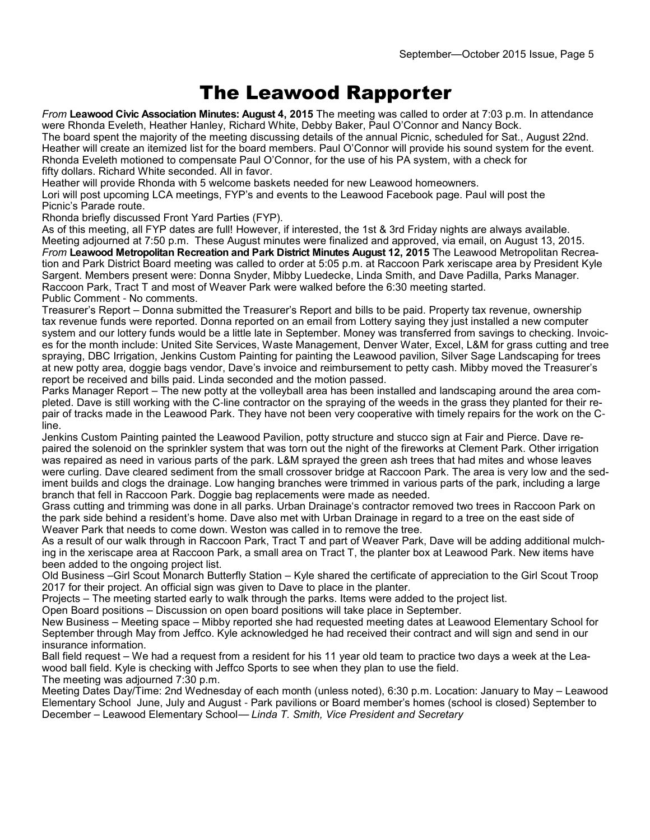## The Leawood Rapporter

*From* **Leawood Civic Association Minutes: August 4, 2015** The meeting was called to order at 7:03 p.m. In attendance were Rhonda Eveleth, Heather Hanley, Richard White, Debby Baker, Paul O'Connor and Nancy Bock.

The board spent the majority of the meeting discussing details of the annual Picnic, scheduled for Sat., August 22nd. Heather will create an itemized list for the board members. Paul O'Connor will provide his sound system for the event. Rhonda Eveleth motioned to compensate Paul O'Connor, for the use of his PA system, with a check for fifty dollars. Richard White seconded. All in favor.

Heather will provide Rhonda with 5 welcome baskets needed for new Leawood homeowners.

Lori will post upcoming LCA meetings, FYP's and events to the Leawood Facebook page. Paul will post the Picnic's Parade route.

Rhonda briefly discussed Front Yard Parties (FYP).

As of this meeting, all FYP dates are full! However, if interested, the 1st & 3rd Friday nights are always available. Meeting adjourned at 7:50 p.m. These August minutes were finalized and approved, via email, on August 13, 2015. *From* **Leawood Metropolitan Recreation and Park District Minutes August 12, 2015** The Leawood Metropolitan Recreation and Park District Board meeting was called to order at 5:05 p.m. at Raccoon Park xeriscape area by President Kyle Sargent. Members present were: Donna Snyder, Mibby Luedecke, Linda Smith, and Dave Padilla, Parks Manager. Raccoon Park, Tract T and most of Weaver Park were walked before the 6:30 meeting started. Public Comment - No comments.

Treasurer's Report – Donna submitted the Treasurer's Report and bills to be paid. Property tax revenue, ownership tax revenue funds were reported. Donna reported on an email from Lottery saying they just installed a new computer system and our lottery funds would be a little late in September. Money was transferred from savings to checking. Invoices for the month include: United Site Services, Waste Management, Denver Water, Excel, L&M for grass cutting and tree spraying, DBC Irrigation, Jenkins Custom Painting for painting the Leawood pavilion, Silver Sage Landscaping for trees at new potty area, doggie bags vendor, Dave's invoice and reimbursement to petty cash. Mibby moved the Treasurer's report be received and bills paid. Linda seconded and the motion passed.

Parks Manager Report – The new potty at the volleyball area has been installed and landscaping around the area completed. Dave is still working with the C-line contractor on the spraying of the weeds in the grass they planted for their repair of tracks made in the Leawood Park. They have not been very cooperative with timely repairs for the work on the Cline.

Jenkins Custom Painting painted the Leawood Pavilion, potty structure and stucco sign at Fair and Pierce. Dave repaired the solenoid on the sprinkler system that was torn out the night of the fireworks at Clement Park. Other irrigation was repaired as need in various parts of the park. L&M sprayed the green ash trees that had mites and whose leaves were curling. Dave cleared sediment from the small crossover bridge at Raccoon Park. The area is very low and the sediment builds and clogs the drainage. Low hanging branches were trimmed in various parts of the park, including a large branch that fell in Raccoon Park. Doggie bag replacements were made as needed.

Grass cutting and trimming was done in all parks. Urban Drainage's contractor removed two trees in Raccoon Park on the park side behind a resident's home. Dave also met with Urban Drainage in regard to a tree on the east side of Weaver Park that needs to come down. Weston was called in to remove the tree.

As a result of our walk through in Raccoon Park, Tract T and part of Weaver Park, Dave will be adding additional mulching in the xeriscape area at Raccoon Park, a small area on Tract T, the planter box at Leawood Park. New items have been added to the ongoing project list.

Old Business –Girl Scout Monarch Butterfly Station – Kyle shared the certificate of appreciation to the Girl Scout Troop 2017 for their project. An official sign was given to Dave to place in the planter.

Projects – The meeting started early to walk through the parks. Items were added to the project list.

Open Board positions – Discussion on open board positions will take place in September.

New Business – Meeting space – Mibby reported she had requested meeting dates at Leawood Elementary School for September through May from Jeffco. Kyle acknowledged he had received their contract and will sign and send in our insurance information.

Ball field request – We had a request from a resident for his 11 year old team to practice two days a week at the Leawood ball field. Kyle is checking with Jeffco Sports to see when they plan to use the field.

The meeting was adjourned 7:30 p.m.

Meeting Dates Day/Time: 2nd Wednesday of each month (unless noted), 6:30 p.m. Location: January to May – Leawood Elementary School June, July and August - Park pavilions or Board member's homes (school is closed) September to December – Leawood Elementary School— *Linda T. Smith, Vice President and Secretary*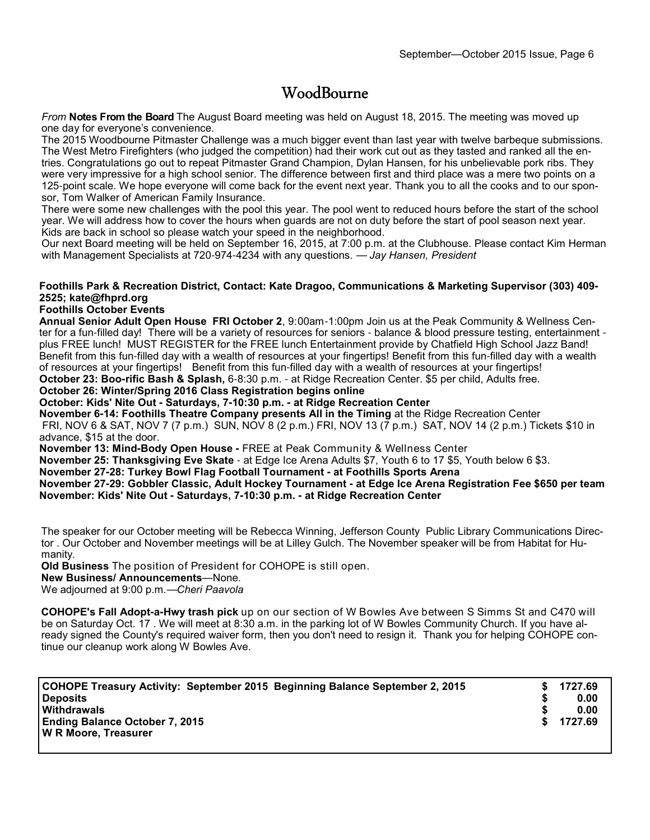### **WoodBourne**

*From* **Notes From the Board** The August Board meeting was held on August 18, 2015. The meeting was moved up one day for everyone's convenience.

The 2015 Woodbourne Pitmaster Challenge was a much bigger event than last year with twelve barbeque submissions. The West Metro Firefighters (who judged the competition) had their work cut out as they tasted and ranked all the entries. Congratulations go out to repeat Pitmaster Grand Champion, Dylan Hansen, for his unbelievable pork ribs. They were very impressive for a high school senior. The difference between first and third place was a mere two points on a 125-point scale. We hope everyone will come back for the event next year. Thank you to all the cooks and to our sponsor, Tom Walker of American Family Insurance.

There were some new challenges with the pool this year. The pool went to reduced hours before the start of the school year. We will address how to cover the hours when guards are not on duty before the start of pool season next year. Kids are back in school so please watch your speed in the neighborhood.

Our next Board meeting will be held on September 16, 2015, at 7:00 p.m. at the Clubhouse. Please contact Kim Herman with Management Specialists at 720-974-4234 with any questions. — *Jay Hansen, President*

### **Foothills Park & Recreation District, Contact: Kate Dragoo, Communications & Marketing Supervisor (303) 409- 2525; kate@fhprd.org**

### **Foothills October Events**

**Annual Senior Adult Open House FRI October 2**, 9:00am-1:00pm Join us at the Peak Community & Wellness Center for a fun-filled day! There will be a variety of resources for seniors - balance & blood pressure testing, entertainment plus FREE lunch! MUST REGISTER for the FREE lunch Entertainment provide by Chatfield High School Jazz Band! Benefit from this fun-filled day with a wealth of resources at your fingertips! Benefit from this fun-filled day with a wealth of resources at your fingertips! Benefit from this fun-filled day with a wealth of resources at your fingertips! **October 23: Boo-rific Bash & Splash,** 6-8:30 p.m. - at Ridge Recreation Center. \$5 per child, Adults free.

#### **October 26: Winter/Spring 2016 Class Registration begins online**

**October: Kids' Nite Out - Saturdays, 7-10:30 p.m. - at Ridge Recreation Center**

**November 6-14: Foothills Theatre Company presents All in the Timing** at the Ridge Recreation Center FRI, NOV 6 & SAT, NOV 7 (7 p.m.) SUN, NOV 8 (2 p.m.) FRI, NOV 13 (7 p.m.) SAT, NOV 14 (2 p.m.) Tickets \$10 in advance, \$15 at the door.

**November 13: Mind-Body Open House -** FREE at Peak Community & Wellness Center

**November 25: Thanksgiving Eve Skate** - at Edge Ice Arena Adults \$7, Youth 6 to 17 \$5, Youth below 6 \$3.

**November 27-28: Turkey Bowl Flag Football Tournament - at Foothills Sports Arena**

**November 27-29: Gobbler Classic, Adult Hockey Tournament - at Edge Ice Arena Registration Fee \$650 per team November: Kids' Nite Out - Saturdays, 7-10:30 p.m. - at Ridge Recreation Center** 

The speaker for our October meeting will be Rebecca Winning, Jefferson County Public Library Communications Director . Our October and November meetings will be at Lilley Gulch. The November speaker will be from Habitat for Humanity.

**Old Business** The position of President for COHOPE is still open.

**New Business/ Announcements**—None.

We adjourned at 9:00 p.m*.*—*Cheri Paavola*

**COHOPE's Fall Adopt-a-Hwy trash pick** up on our section of W Bowles Ave between S Simms St and C470 will be on Saturday Oct. 17 . We will meet at 8:30 a.m. in the parking lot of W Bowles Community Church. If you have already signed the County's required waiver form, then you don't need to resign it. Thank you for helping COHOPE continue our cleanup work along W Bowles Ave.

| COHOPE Treasury Activity: September 2015 Beginning Balance September 2, 2015<br><b>Deposits</b> |    | 1727.69<br>0.00 |
|-------------------------------------------------------------------------------------------------|----|-----------------|
| <b>Withdrawals</b><br><b>Ending Balance October 7, 2015</b>                                     | S. | 0.00<br>1727.69 |
| W R Moore, Treasurer                                                                            |    |                 |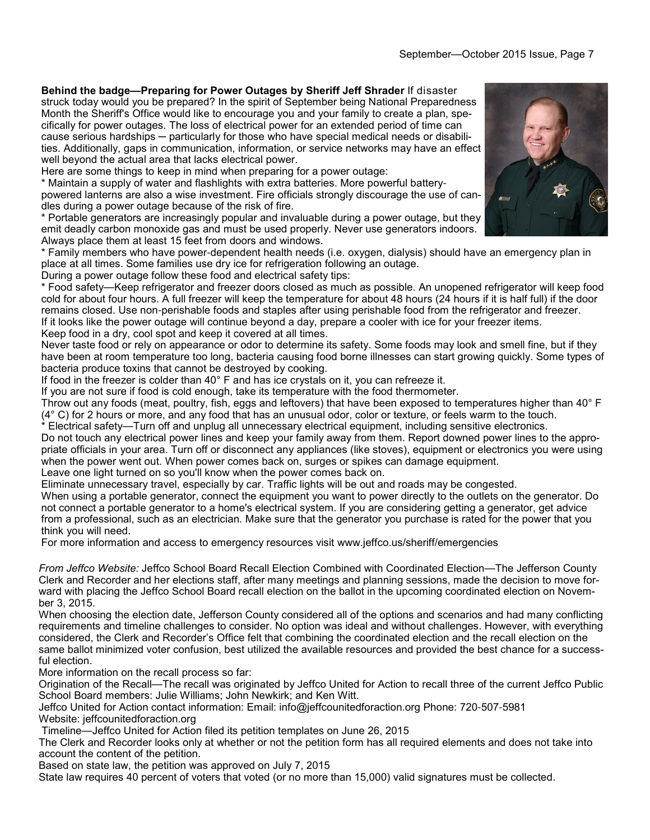**Behind the badge—Preparing for Power Outages by Sheriff Jeff Shrader** If disaster struck today would you be prepared? In the spirit of September being National Preparedness Month the Sheriff's Office would like to encourage you and your family to create a plan, specifically for power outages. The loss of electrical power for an extended period of time can cause serious hardships — particularly for those who have special medical needs or disabilities. Additionally, gaps in communication, information, or service networks may have an effect well beyond the actual area that lacks electrical power.

Here are some things to keep in mind when preparing for a power outage:

\* Maintain a supply of water and flashlights with extra batteries. More powerful batterypowered lanterns are also a wise investment. Fire officials strongly discourage the use of candles during a power outage because of the risk of fire.

\* Portable generators are increasingly popular and invaluable during a power outage, but they emit deadly carbon monoxide gas and must be used properly. Never use generators indoors. Always place them at least 15 feet from doors and windows.

\* Family members who have power-dependent health needs (i.e. oxygen, dialysis) should have an emergency plan in place at all times. Some families use dry ice for refrigeration following an outage.

During a power outage follow these food and electrical safety tips:

\* Food safety—Keep refrigerator and freezer doors closed as much as possible. An unopened refrigerator will keep food cold for about four hours. A full freezer will keep the temperature for about 48 hours (24 hours if it is half full) if the door remains closed. Use non-perishable foods and staples after using perishable food from the refrigerator and freezer. If it looks like the power outage will continue beyond a day, prepare a cooler with ice for your freezer items. Keep food in a dry, cool spot and keep it covered at all times.

Never taste food or rely on appearance or odor to determine its safety. Some foods may look and smell fine, but if they have been at room temperature too long, bacteria causing food borne illnesses can start growing quickly. Some types of bacteria produce toxins that cannot be destroyed by cooking.

If food in the freezer is colder than 40° F and has ice crystals on it, you can refreeze it.

If you are not sure if food is cold enough, take its temperature with the food thermometer.

Throw out any foods (meat, poultry, fish, eggs and leftovers) that have been exposed to temperatures higher than 40° F (4° C) for 2 hours or more, and any food that has an unusual odor, color or texture, or feels warm to the touch.

\* Electrical safety—Turn off and unplug all unnecessary electrical equipment, including sensitive electronics. Do not touch any electrical power lines and keep your family away from them. Report downed power lines to the appropriate officials in your area. Turn off or disconnect any appliances (like stoves), equipment or electronics you were using when the power went out. When power comes back on, surges or spikes can damage equipment.

Leave one light turned on so you'll know when the power comes back on.

Eliminate unnecessary travel, especially by car. Traffic lights will be out and roads may be congested.

When using a portable generator, connect the equipment you want to power directly to the outlets on the generator. Do not connect a portable generator to a home's electrical system. If you are considering getting a generator, get advice from a professional, such as an electrician. Make sure that the generator you purchase is rated for the power that you think you will need.

For more information and access to emergency resources visit www.jeffco.us/sheriff/emergencies

*From Jeffco Website:* Jeffco School Board Recall Election Combined with Coordinated Election—The Jefferson County Clerk and Recorder and her elections staff, after many meetings and planning sessions, made the decision to move forward with placing the Jeffco School Board recall election on the ballot in the upcoming coordinated election on November 3, 2015.

When choosing the election date, Jefferson County considered all of the options and scenarios and had many conflicting requirements and timeline challenges to consider. No option was ideal and without challenges. However, with everything considered, the Clerk and Recorder's Office felt that combining the coordinated election and the recall election on the same ballot minimized voter confusion, best utilized the available resources and provided the best chance for a successful election.

More information on the recall process so far:

Origination of the Recall—The recall was originated by Jeffco United for Action to recall three of the current Jeffco Public School Board members: Julie Williams; John Newkirk; and Ken Witt.

Jeffco United for Action contact information: Email: info@jeffcounitedforaction.org Phone: 720-507-5981 Website: jeffcounitedforaction.org

Timeline—Jeffco United for Action filed its petition templates on June 26, 2015

The Clerk and Recorder looks only at whether or not the petition form has all required elements and does not take into account the content of the petition.

Based on state law, the petition was approved on July 7, 2015

State law requires 40 percent of voters that voted (or no more than 15,000) valid signatures must be collected.